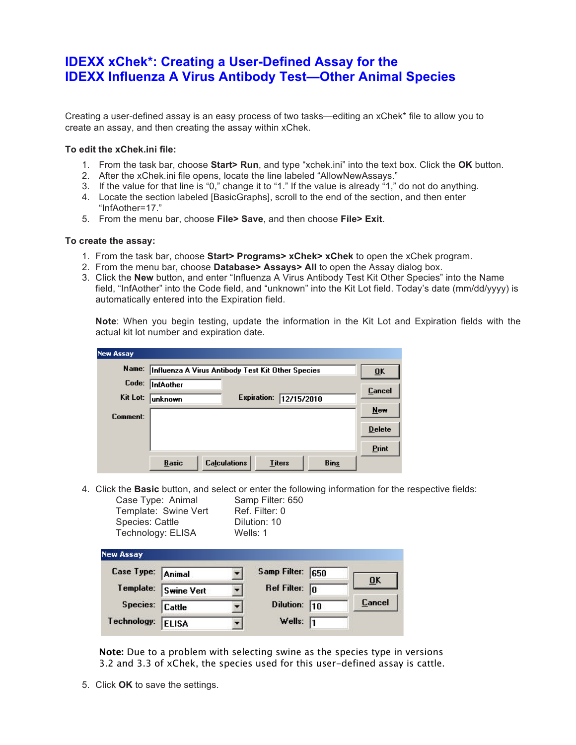## **IDEXX xChek\*: Creating a User-Defined Assay for the IDEXX Influenza A Virus Antibody Test—Other Animal Species**

Creating a user-defined assay is an easy process of two tasks—editing an xChek\* file to allow you to create an assay, and then creating the assay within xChek.

## **To edit the xChek.ini file:**

- 1. From the task bar, choose **Start> Run**, and type "xchek.ini" into the text box. Click the **OK** button.
- 2. After the xChek.ini file opens, locate the line labeled "AllowNewAssays."
- 3. If the value for that line is "0," change it to "1." If the value is already "1," do not do anything.
- 4. Locate the section labeled [BasicGraphs], scroll to the end of the section, and then enter "InfAother=17."
- 5. From the menu bar, choose **File> Save**, and then choose **File> Exit**.

## **To create the assay:**

- 1. From the task bar, choose **Start> Programs> xChek> xChek** to open the xChek program.
- 2. From the menu bar, choose **Database> Assays> All** to open the Assay dialog box.
- 3. Click the **New** button, and enter "Influenza A Virus Antibody Test Kit Other Species" into the Name field, "InfAother" into the Code field, and "unknown" into the Kit Lot field. Today's date (mm/dd/yyyy) is automatically entered into the Expiration field.

**Note**: When you begin testing, update the information in the Kit Lot and Expiration fields with the actual kit lot number and expiration date.

| <b>New Assay</b> |                                                                     |               |
|------------------|---------------------------------------------------------------------|---------------|
| Name:            | Influenza A Virus Antibody Test Kit Other Species                   | ŪK            |
| Code:            | InfAother                                                           | Cancel        |
| Kit Lot:         | Expiration:<br>12/15/2010<br> unknown                               |               |
| Comment:         |                                                                     | New           |
|                  |                                                                     | <b>Delete</b> |
|                  |                                                                     | Print         |
|                  | <b>Calculations</b><br><b>Basic</b><br><b>Bins</b><br><b>Titers</b> |               |

4. Click the **Basic** button, and select or enter the following information for the respective fields:

Template: Swine Vert Ref. Filter: 0 Species: Cattle **Dilution: 10** 

Case Type: Animal Samp Filter: 650 Technology: ELISA Wells: 1

| New Assay         |                      |                         |               |
|-------------------|----------------------|-------------------------|---------------|
| Case Type: Animal |                      | Samp Filter: 650        |               |
|                   | Template: Swine Vert | Ref Filter: $\boxed{0}$ | ŪK            |
| Species: Cattle   |                      | Dilution: 10            | <b>Cancel</b> |
| Technology:       | <b>ELISA</b>         | Wells: $\sqrt{1}$       |               |

**Note:** Due to a problem with selecting swine as the species type in versions 3.2 and 3.3 of xChek, the species used for this user-defined assay is cattle.

5. Click **OK** to save the settings.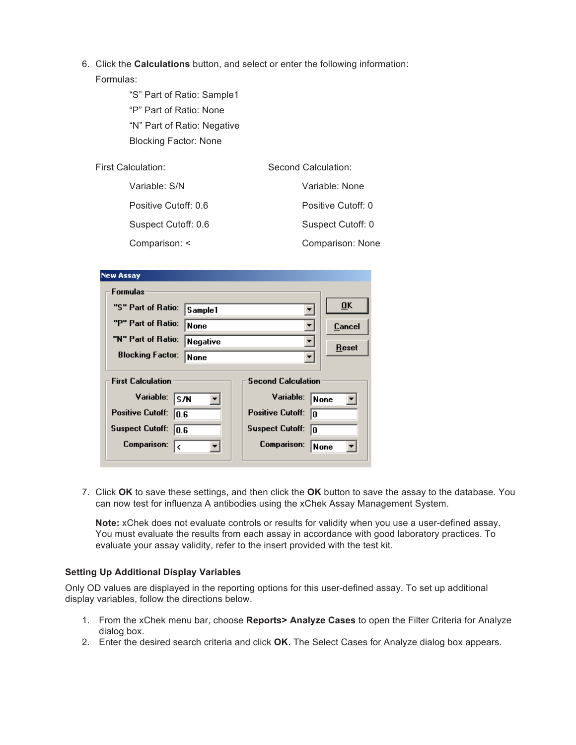- 6. Click the **Calculations** button, and select or enter the following information: Formulas:
	- "S" Part of Ratio: Sample1 "P" Part of Ratio: None "N" Part of Ratio: Negative Blocking Factor: None

| First Calculation:   | Second Calculation: |
|----------------------|---------------------|
| Variable: S/N        | Variable: None      |
| Positive Cutoff: 0.6 | Positive Cutoff: 0  |
| Suspect Cutoff: 0.6  | Suspect Cutoff: 0   |
| Comparison: <        | Comparison: None    |

| <b>New Assay</b>                                                                                                  |                                                                                                                  |  |
|-------------------------------------------------------------------------------------------------------------------|------------------------------------------------------------------------------------------------------------------|--|
| Formulas                                                                                                          |                                                                                                                  |  |
| "S" Part of Ratio:<br>Sample1                                                                                     | $\overline{0}$ K                                                                                                 |  |
| "P" Part of Ratio:<br><b>None</b>                                                                                 | Cancel                                                                                                           |  |
| "N" Part of Ratio:<br><b>Negative</b>                                                                             | Reset                                                                                                            |  |
| <b>Blocking Factor:</b><br><b>None</b>                                                                            |                                                                                                                  |  |
| <b>First Calculation</b><br>Variable:<br>S/N<br><b>Positive Cutoff:</b><br>10.6<br><b>Suspect Cutoff:</b><br>10.6 | <b>Second Calculation</b><br>Variable:<br> None<br><b>Positive Cutoff:</b><br>In<br><b>Suspect Cutoff:</b><br>In |  |
| <b>Comparison:</b><br>I۷                                                                                          | <b>Comparison:</b><br>None                                                                                       |  |

7. Click **OK** to save these settings, and then click the **OK** button to save the assay to the database. You can now test for influenza A antibodies using the xChek Assay Management System.

**Note:** xChek does not evaluate controls or results for validity when you use a user-defined assay. You must evaluate the results from each assay in accordance with good laboratory practices. To evaluate your assay validity, refer to the insert provided with the test kit.

## **Setting Up Additional Display Variables**

Only OD values are displayed in the reporting options for this user-defined assay. To set up additional display variables, follow the directions below.

- 1. From the xChek menu bar, choose **Reports> Analyze Cases** to open the Filter Criteria for Analyze dialog box.
- 2. Enter the desired search criteria and click **OK**. The Select Cases for Analyze dialog box appears.